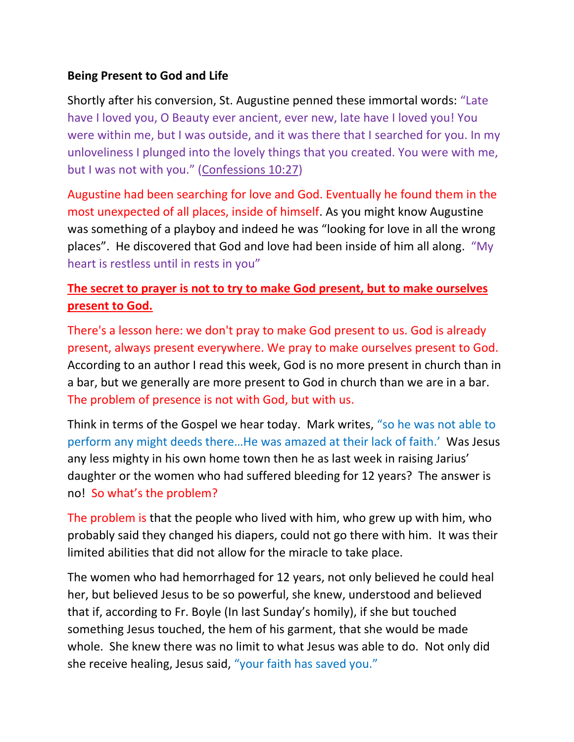## **Being Present to God and Life**

Shortly after his conversion, St. Augustine penned these immortal words: "Late have I loved you, O Beauty ever ancient, ever new, late have I loved you! You were within me, but I was outside, and it was there that I searched for you. In my unloveliness I plunged into the lovely things that you created. You were with me, but I was not with you." ([Confessions 10:27\)](https://epistleofdude.wordpress.com/2019/05/14/a-comparison-of-different-translations-of-augustines-confessions-late-have-i-loved-you/)

Augustine had been searching for love and God. Eventually he found them in the most unexpected of all places, inside of himself. As you might know Augustine was something of a playboy and indeed he was "looking for love in all the wrong places". He discovered that God and love had been inside of him all along. "My heart is restless until in rests in you"

## **The secret to prayer is not to try to make God present, but to make ourselves present to God.**

There's a lesson here: we don't pray to make God present to us. God is already present, always present everywhere. We pray to make ourselves present to God. According to an author I read this week, God is no more present in church than in a bar, but we generally are more present to God in church than we are in a bar. The problem of presence is not with God, but with us.

Think in terms of the Gospel we hear today. Mark writes, "so he was not able to perform any might deeds there…He was amazed at their lack of faith.' Was Jesus any less mighty in his own home town then he as last week in raising Jarius' daughter or the women who had suffered bleeding for 12 years? The answer is no! So what's the problem?

The problem is that the people who lived with him, who grew up with him, who probably said they changed his diapers, could not go there with him. It was their limited abilities that did not allow for the miracle to take place.

The women who had hemorrhaged for 12 years, not only believed he could heal her, but believed Jesus to be so powerful, she knew, understood and believed that if, according to Fr. Boyle (In last Sunday's homily), if she but touched something Jesus touched, the hem of his garment, that she would be made whole. She knew there was no limit to what Jesus was able to do. Not only did she receive healing, Jesus said, "your faith has saved you."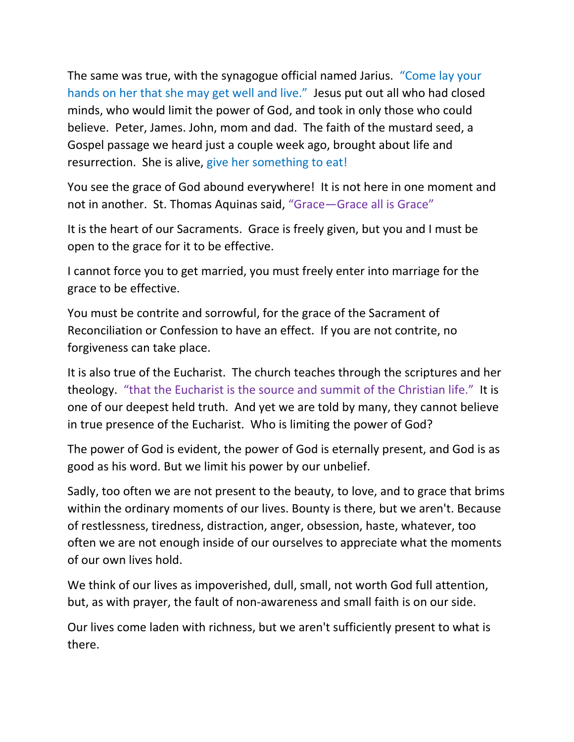The same was true, with the synagogue official named Jarius. "Come lay your hands on her that she may get well and live." Jesus put out all who had closed minds, who would limit the power of God, and took in only those who could believe. Peter, James. John, mom and dad. The faith of the mustard seed, a Gospel passage we heard just a couple week ago, brought about life and resurrection. She is alive, give her something to eat!

You see the grace of God abound everywhere! It is not here in one moment and not in another. St. Thomas Aquinas said, "Grace—Grace all is Grace"

It is the heart of our Sacraments. Grace is freely given, but you and I must be open to the grace for it to be effective.

I cannot force you to get married, you must freely enter into marriage for the grace to be effective.

You must be contrite and sorrowful, for the grace of the Sacrament of Reconciliation or Confession to have an effect. If you are not contrite, no forgiveness can take place.

It is also true of the Eucharist. The church teaches through the scriptures and her theology. "that the Eucharist is the source and summit of the Christian life." It is one of our deepest held truth. And yet we are told by many, they cannot believe in true presence of the Eucharist. Who is limiting the power of God?

The power of God is evident, the power of God is eternally present, and God is as good as his word. But we limit his power by our unbelief.

Sadly, too often we are not present to the beauty, to love, and to grace that brims within the ordinary moments of our lives. Bounty is there, but we aren't. Because of restlessness, tiredness, distraction, anger, obsession, haste, whatever, too often we are not enough inside of our ourselves to appreciate what the moments of our own lives hold.

We think of our lives as impoverished, dull, small, not worth God full attention, but, as with prayer, the fault of non-awareness and small faith is on our side.

Our lives come laden with richness, but we aren't sufficiently present to what is there.